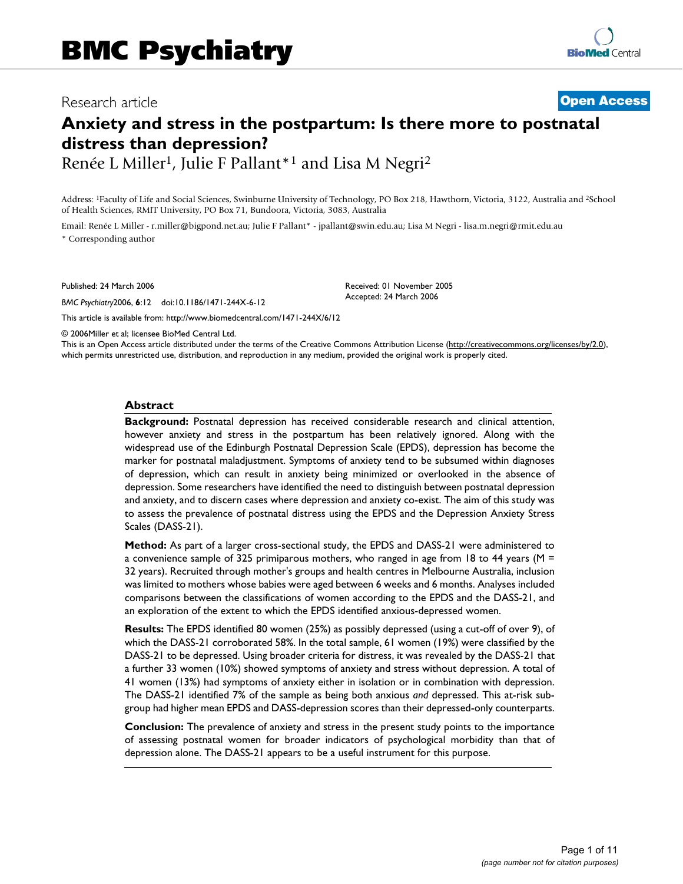# Research article **[Open Access](http://www.biomedcentral.com/info/about/charter/)**

# **Anxiety and stress in the postpartum: Is there more to postnatal distress than depression?**

Renée L Miller<sup>1</sup>, Julie F Pallant<sup>\*1</sup> and Lisa M Negri<sup>2</sup>

Address: 1Faculty of Life and Social Sciences, Swinburne University of Technology, PO Box 218, Hawthorn, Victoria, 3122, Australia and 2School of Health Sciences, RMIT University, PO Box 71, Bundoora, Victoria, 3083, Australia

Email: Renée L Miller - r.miller@bigpond.net.au; Julie F Pallant\* - jpallant@swin.edu.au; Lisa M Negri - lisa.m.negri@rmit.edu.au \* Corresponding author

Published: 24 March 2006

*BMC Psychiatry*2006, **6**:12 doi:10.1186/1471-244X-6-12

[This article is available from: http://www.biomedcentral.com/1471-244X/6/12](http://www.biomedcentral.com/1471-244X/6/12)

Received: 01 November 2005 Accepted: 24 March 2006

© 2006Miller et al; licensee BioMed Central Ltd.

This is an Open Access article distributed under the terms of the Creative Commons Attribution License [\(http://creativecommons.org/licenses/by/2.0\)](http://creativecommons.org/licenses/by/2.0), which permits unrestricted use, distribution, and reproduction in any medium, provided the original work is properly cited.

#### **Abstract**

**Background:** Postnatal depression has received considerable research and clinical attention, however anxiety and stress in the postpartum has been relatively ignored. Along with the widespread use of the Edinburgh Postnatal Depression Scale (EPDS), depression has become the marker for postnatal maladjustment. Symptoms of anxiety tend to be subsumed within diagnoses of depression, which can result in anxiety being minimized or overlooked in the absence of depression. Some researchers have identified the need to distinguish between postnatal depression and anxiety, and to discern cases where depression and anxiety co-exist. The aim of this study was to assess the prevalence of postnatal distress using the EPDS and the Depression Anxiety Stress Scales (DASS-21).

**Method:** As part of a larger cross-sectional study, the EPDS and DASS-21 were administered to a convenience sample of 325 primiparous mothers, who ranged in age from 18 to 44 years (M = 32 years). Recruited through mother's groups and health centres in Melbourne Australia, inclusion was limited to mothers whose babies were aged between 6 weeks and 6 months. Analyses included comparisons between the classifications of women according to the EPDS and the DASS-21, and an exploration of the extent to which the EPDS identified anxious-depressed women.

**Results:** The EPDS identified 80 women (25%) as possibly depressed (using a cut-off of over 9), of which the DASS-21 corroborated 58%. In the total sample, 61 women (19%) were classified by the DASS-21 to be depressed. Using broader criteria for distress, it was revealed by the DASS-21 that a further 33 women (10%) showed symptoms of anxiety and stress without depression. A total of 41 women (13%) had symptoms of anxiety either in isolation or in combination with depression. The DASS-21 identified 7% of the sample as being both anxious *and* depressed. This at-risk subgroup had higher mean EPDS and DASS-depression scores than their depressed-only counterparts.

**Conclusion:** The prevalence of anxiety and stress in the present study points to the importance of assessing postnatal women for broader indicators of psychological morbidity than that of depression alone. The DASS-21 appears to be a useful instrument for this purpose.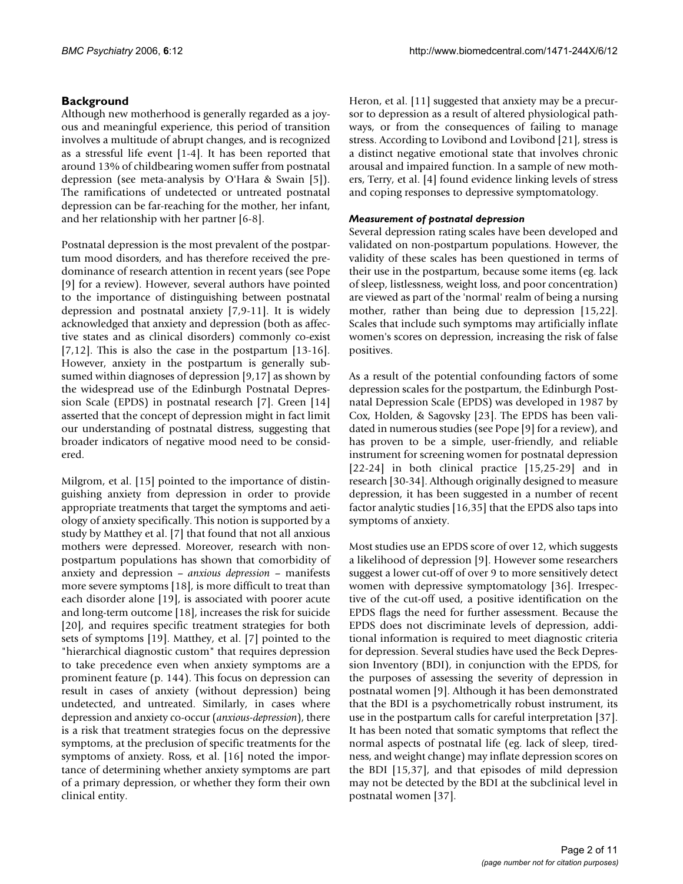# **Background**

Although new motherhood is generally regarded as a joyous and meaningful experience, this period of transition involves a multitude of abrupt changes, and is recognized as a stressful life event [1-4]. It has been reported that around 13% of childbearing women suffer from postnatal depression (see meta-analysis by O'Hara & Swain [5]). The ramifications of undetected or untreated postnatal depression can be far-reaching for the mother, her infant, and her relationship with her partner [6-8].

Postnatal depression is the most prevalent of the postpartum mood disorders, and has therefore received the predominance of research attention in recent years (see Pope [9] for a review). However, several authors have pointed to the importance of distinguishing between postnatal depression and postnatal anxiety [7,9-11]. It is widely acknowledged that anxiety and depression (both as affective states and as clinical disorders) commonly co-exist [7,12]. This is also the case in the postpartum [13-16]. However, anxiety in the postpartum is generally subsumed within diagnoses of depression [9,17] as shown by the widespread use of the Edinburgh Postnatal Depression Scale (EPDS) in postnatal research [7]. Green [14] asserted that the concept of depression might in fact limit our understanding of postnatal distress, suggesting that broader indicators of negative mood need to be considered.

Milgrom, et al. [15] pointed to the importance of distinguishing anxiety from depression in order to provide appropriate treatments that target the symptoms and aetiology of anxiety specifically. This notion is supported by a study by Matthey et al. [7] that found that not all anxious mothers were depressed. Moreover, research with nonpostpartum populations has shown that comorbidity of anxiety and depression – *anxious depression* – manifests more severe symptoms [18], is more difficult to treat than each disorder alone [19], is associated with poorer acute and long-term outcome [18], increases the risk for suicide [20], and requires specific treatment strategies for both sets of symptoms [19]. Matthey, et al. [7] pointed to the "hierarchical diagnostic custom" that requires depression to take precedence even when anxiety symptoms are a prominent feature (p. 144). This focus on depression can result in cases of anxiety (without depression) being undetected, and untreated. Similarly, in cases where depression and anxiety co-occur (*anxious-depression*), there is a risk that treatment strategies focus on the depressive symptoms, at the preclusion of specific treatments for the symptoms of anxiety. Ross, et al. [16] noted the importance of determining whether anxiety symptoms are part of a primary depression, or whether they form their own clinical entity.

Heron, et al. [11] suggested that anxiety may be a precursor to depression as a result of altered physiological pathways, or from the consequences of failing to manage stress. According to Lovibond and Lovibond [21], stress is a distinct negative emotional state that involves chronic arousal and impaired function. In a sample of new mothers, Terry, et al. [4] found evidence linking levels of stress and coping responses to depressive symptomatology.

# *Measurement of postnatal depression*

Several depression rating scales have been developed and validated on non-postpartum populations. However, the validity of these scales has been questioned in terms of their use in the postpartum, because some items (eg. lack of sleep, listlessness, weight loss, and poor concentration) are viewed as part of the 'normal' realm of being a nursing mother, rather than being due to depression [15,22]. Scales that include such symptoms may artificially inflate women's scores on depression, increasing the risk of false positives.

As a result of the potential confounding factors of some depression scales for the postpartum, the Edinburgh Postnatal Depression Scale (EPDS) was developed in 1987 by Cox, Holden, & Sagovsky [23]. The EPDS has been validated in numerous studies (see Pope [9] for a review), and has proven to be a simple, user-friendly, and reliable instrument for screening women for postnatal depression [22-24] in both clinical practice [15,25-29] and in research [30-34]. Although originally designed to measure depression, it has been suggested in a number of recent factor analytic studies [16,35] that the EPDS also taps into symptoms of anxiety.

Most studies use an EPDS score of over 12, which suggests a likelihood of depression [9]. However some researchers suggest a lower cut-off of over 9 to more sensitively detect women with depressive symptomatology [36]. Irrespective of the cut-off used, a positive identification on the EPDS flags the need for further assessment. Because the EPDS does not discriminate levels of depression, additional information is required to meet diagnostic criteria for depression. Several studies have used the Beck Depression Inventory (BDI), in conjunction with the EPDS, for the purposes of assessing the severity of depression in postnatal women [9]. Although it has been demonstrated that the BDI is a psychometrically robust instrument, its use in the postpartum calls for careful interpretation [37]. It has been noted that somatic symptoms that reflect the normal aspects of postnatal life (eg. lack of sleep, tiredness, and weight change) may inflate depression scores on the BDI [15,37], and that episodes of mild depression may not be detected by the BDI at the subclinical level in postnatal women [37].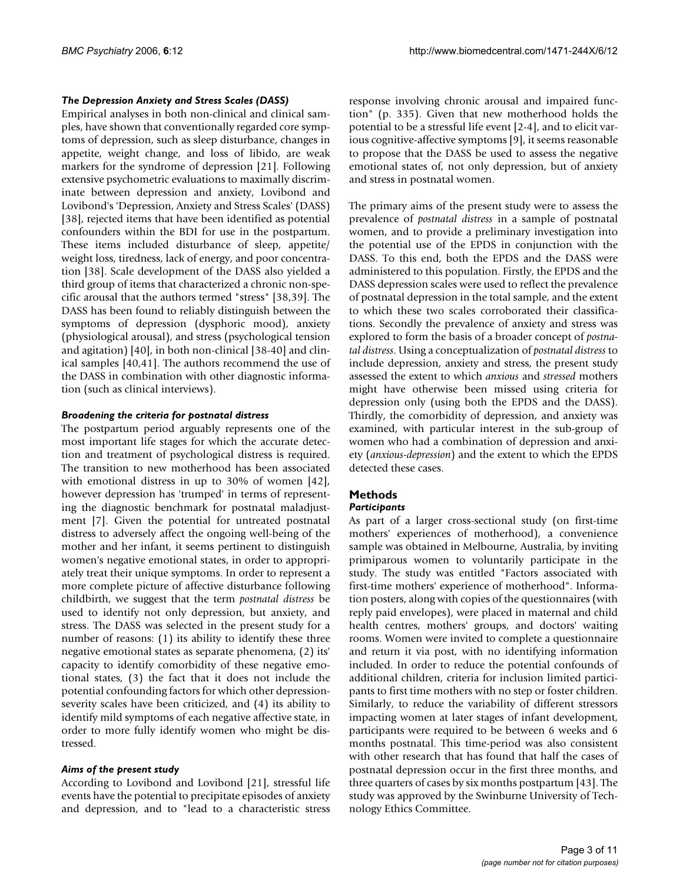#### *The Depression Anxiety and Stress Scales (DASS)*

Empirical analyses in both non-clinical and clinical samples, have shown that conventionally regarded core symptoms of depression, such as sleep disturbance, changes in appetite, weight change, and loss of libido, are weak markers for the syndrome of depression [21]. Following extensive psychometric evaluations to maximally discriminate between depression and anxiety, Lovibond and Lovibond's 'Depression, Anxiety and Stress Scales' (DASS) [38], rejected items that have been identified as potential confounders within the BDI for use in the postpartum. These items included disturbance of sleep, appetite/ weight loss, tiredness, lack of energy, and poor concentration [38]. Scale development of the DASS also yielded a third group of items that characterized a chronic non-specific arousal that the authors termed "stress" [38,39]. The DASS has been found to reliably distinguish between the symptoms of depression (dysphoric mood), anxiety (physiological arousal), and stress (psychological tension and agitation) [40], in both non-clinical [38-40] and clinical samples [40,41]. The authors recommend the use of the DASS in combination with other diagnostic information (such as clinical interviews).

#### *Broadening the criteria for postnatal distress*

The postpartum period arguably represents one of the most important life stages for which the accurate detection and treatment of psychological distress is required. The transition to new motherhood has been associated with emotional distress in up to 30% of women [42], however depression has 'trumped' in terms of representing the diagnostic benchmark for postnatal maladjustment [7]. Given the potential for untreated postnatal distress to adversely affect the ongoing well-being of the mother and her infant, it seems pertinent to distinguish women's negative emotional states, in order to appropriately treat their unique symptoms. In order to represent a more complete picture of affective disturbance following childbirth, we suggest that the term *postnatal distress* be used to identify not only depression, but anxiety, and stress. The DASS was selected in the present study for a number of reasons: (1) its ability to identify these three negative emotional states as separate phenomena, (2) its' capacity to identify comorbidity of these negative emotional states, (3) the fact that it does not include the potential confounding factors for which other depressionseverity scales have been criticized, and (4) its ability to identify mild symptoms of each negative affective state, in order to more fully identify women who might be distressed.

## *Aims of the present study*

According to Lovibond and Lovibond [21], stressful life events have the potential to precipitate episodes of anxiety and depression, and to "lead to a characteristic stress

response involving chronic arousal and impaired function" (p. 335). Given that new motherhood holds the potential to be a stressful life event [2-4], and to elicit various cognitive-affective symptoms [9], it seems reasonable to propose that the DASS be used to assess the negative emotional states of, not only depression, but of anxiety and stress in postnatal women.

The primary aims of the present study were to assess the prevalence of *postnatal distress* in a sample of postnatal women, and to provide a preliminary investigation into the potential use of the EPDS in conjunction with the DASS. To this end, both the EPDS and the DASS were administered to this population. Firstly, the EPDS and the DASS depression scales were used to reflect the prevalence of postnatal depression in the total sample, and the extent to which these two scales corroborated their classifications. Secondly the prevalence of anxiety and stress was explored to form the basis of a broader concept of *postnatal distress*. Using a conceptualization of *postnatal distress* to include depression, anxiety and stress, the present study assessed the extent to which *anxious* and *stressed* mothers might have otherwise been missed using criteria for depression only (using both the EPDS and the DASS). Thirdly, the comorbidity of depression, and anxiety was examined, with particular interest in the sub-group of women who had a combination of depression and anxiety (*anxious-depression*) and the extent to which the EPDS detected these cases.

#### **Methods** *Participants*

# As part of a larger cross-sectional study (on first-time mothers' experiences of motherhood), a convenience sample was obtained in Melbourne, Australia, by inviting primiparous women to voluntarily participate in the study. The study was entitled "Factors associated with first-time mothers' experience of motherhood". Information posters, along with copies of the questionnaires (with reply paid envelopes), were placed in maternal and child health centres, mothers' groups, and doctors' waiting rooms. Women were invited to complete a questionnaire and return it via post, with no identifying information included. In order to reduce the potential confounds of additional children, criteria for inclusion limited participants to first time mothers with no step or foster children. Similarly, to reduce the variability of different stressors impacting women at later stages of infant development, participants were required to be between 6 weeks and 6 months postnatal. This time-period was also consistent with other research that has found that half the cases of postnatal depression occur in the first three months, and three quarters of cases by six months postpartum [43]. The study was approved by the Swinburne University of Technology Ethics Committee.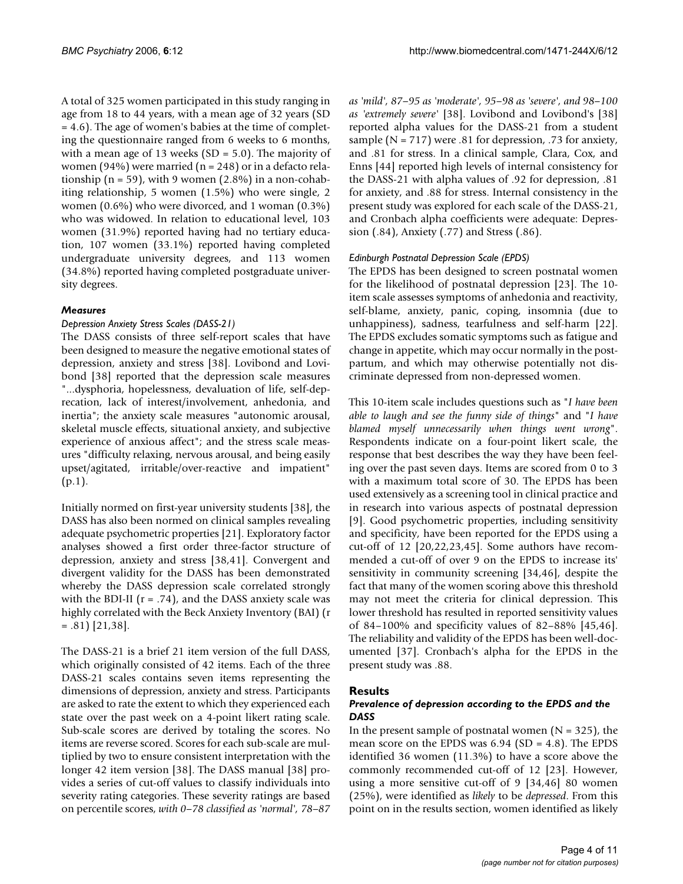A total of 325 women participated in this study ranging in age from 18 to 44 years, with a mean age of 32 years (SD = 4.6). The age of women's babies at the time of completing the questionnaire ranged from 6 weeks to 6 months, with a mean age of 13 weeks (SD = 5.0). The majority of women (94%) were married ( $n = 248$ ) or in a defacto relationship  $(n = 59)$ , with 9 women  $(2.8\%)$  in a non-cohabiting relationship, 5 women (1.5%) who were single, 2 women (0.6%) who were divorced, and 1 woman (0.3%) who was widowed. In relation to educational level, 103 women (31.9%) reported having had no tertiary education, 107 women (33.1%) reported having completed undergraduate university degrees, and 113 women (34.8%) reported having completed postgraduate university degrees.

# *Measures*

# *Depression Anxiety Stress Scales (DASS-21)*

The DASS consists of three self-report scales that have been designed to measure the negative emotional states of depression, anxiety and stress [38]. Lovibond and Lovibond [38] reported that the depression scale measures "...dysphoria, hopelessness, devaluation of life, self-deprecation, lack of interest/involvement, anhedonia, and inertia"; the anxiety scale measures "autonomic arousal, skeletal muscle effects, situational anxiety, and subjective experience of anxious affect"; and the stress scale measures "difficulty relaxing, nervous arousal, and being easily upset/agitated, irritable/over-reactive and impatient" (p.1).

Initially normed on first-year university students [38], the DASS has also been normed on clinical samples revealing adequate psychometric properties [21]. Exploratory factor analyses showed a first order three-factor structure of depression, anxiety and stress [38,41]. Convergent and divergent validity for the DASS has been demonstrated whereby the DASS depression scale correlated strongly with the BDI-II ( $r = .74$ ), and the DASS anxiety scale was highly correlated with the Beck Anxiety Inventory (BAI) (r  $= .81$ ] [21,38].

The DASS-21 is a brief 21 item version of the full DASS, which originally consisted of 42 items. Each of the three DASS-21 scales contains seven items representing the dimensions of depression, anxiety and stress. Participants are asked to rate the extent to which they experienced each state over the past week on a 4-point likert rating scale. Sub-scale scores are derived by totaling the scores. No items are reverse scored. Scores for each sub-scale are multiplied by two to ensure consistent interpretation with the longer 42 item version [38]. The DASS manual [38] provides a series of cut-off values to classify individuals into severity rating categories. These severity ratings are based on percentile scores, *with 0–78 classified as 'normal', 78–87*

*as 'mild', 87–95 as 'moderate', 95–98 as 'severe', and 98–100 as 'extremely severe'* [38]. Lovibond and Lovibond's [38] reported alpha values for the DASS-21 from a student sample (N = 717) were .81 for depression, .73 for anxiety, and .81 for stress. In a clinical sample, Clara, Cox, and Enns [44] reported high levels of internal consistency for the DASS-21 with alpha values of .92 for depression, .81 for anxiety, and .88 for stress. Internal consistency in the present study was explored for each scale of the DASS-21, and Cronbach alpha coefficients were adequate: Depression (.84), Anxiety (.77) and Stress (.86).

# *Edinburgh Postnatal Depression Scale (EPDS)*

The EPDS has been designed to screen postnatal women for the likelihood of postnatal depression [23]. The 10 item scale assesses symptoms of anhedonia and reactivity, self-blame, anxiety, panic, coping, insomnia (due to unhappiness), sadness, tearfulness and self-harm [22]. The EPDS excludes somatic symptoms such as fatigue and change in appetite, which may occur normally in the postpartum, and which may otherwise potentially not discriminate depressed from non-depressed women.

This 10-item scale includes questions such as "*I have been able to laugh and see the funny side of things*" and "*I have blamed myself unnecessarily when things went wrong*". Respondents indicate on a four-point likert scale, the response that best describes the way they have been feeling over the past seven days. Items are scored from 0 to 3 with a maximum total score of 30. The EPDS has been used extensively as a screening tool in clinical practice and in research into various aspects of postnatal depression [9]. Good psychometric properties, including sensitivity and specificity, have been reported for the EPDS using a cut-off of 12 [20,22,23,45]. Some authors have recommended a cut-off of over 9 on the EPDS to increase its' sensitivity in community screening [34,46], despite the fact that many of the women scoring above this threshold may not meet the criteria for clinical depression. This lower threshold has resulted in reported sensitivity values of 84–100% and specificity values of 82–88% [45,46]. The reliability and validity of the EPDS has been well-documented [37]. Cronbach's alpha for the EPDS in the present study was .88.

# **Results**

# *Prevalence of depression according to the EPDS and the DASS*

In the present sample of postnatal women ( $N = 325$ ), the mean score on the EPDS was 6.94 (SD = 4.8). The EPDS identified 36 women (11.3%) to have a score above the commonly recommended cut-off of 12 [23]. However, using a more sensitive cut-off of 9 [34,46] 80 women (25%), were identified as *likely* to be *depressed*. From this point on in the results section, women identified as likely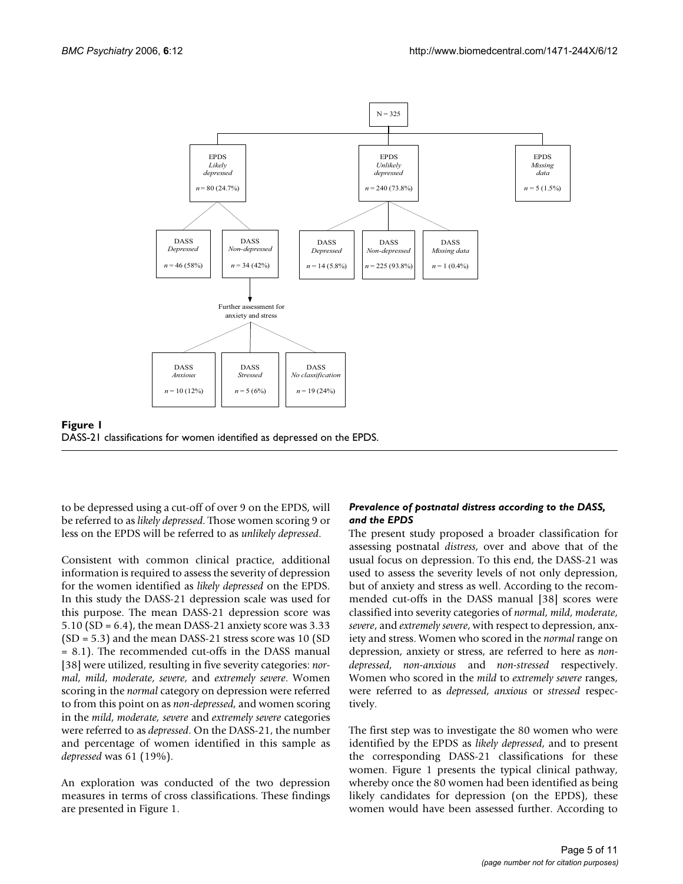

**Figure 1** DASS-21 classifications for women identified as depressed on the EPDS.

to be depressed using a cut-off of over 9 on the EPDS, will be referred to as *likely depressed*. Those women scoring 9 or less on the EPDS will be referred to as *unlikely depressed*.

Consistent with common clinical practice, additional information is required to assess the severity of depression for the women identified as *likely depressed* on the EPDS. In this study the DASS-21 depression scale was used for this purpose. The mean DASS-21 depression score was 5.10 (SD =  $6.4$ ), the mean DASS-21 anxiety score was 3.33 (SD = 5.3) and the mean DASS-21 stress score was 10 (SD = 8.1). The recommended cut-offs in the DASS manual [38] were utilized, resulting in five severity categories: *normal*, *mild*, *moderate*, *severe*, and *extremely severe*. Women scoring in the *normal* category on depression were referred to from this point on as *non-depressed*, and women scoring in the *mild*, *moderate, severe* and *extremely severe* categories were referred to as *depressed*. On the DASS-21, the number and percentage of women identified in this sample as *depressed* was 61 (19%).

An exploration was conducted of the two depression measures in terms of cross classifications. These findings are presented in Figure 1.

## *Prevalence of postnatal distress according to the DASS, and the EPDS*

The present study proposed a broader classification for assessing postnatal *distress*, over and above that of the usual focus on depression. To this end, the DASS-21 was used to assess the severity levels of not only depression, but of anxiety and stress as well. According to the recommended cut-offs in the DASS manual [38] scores were classified into severity categories of *normal*, *mild*, *moderate*, *severe*, and *extremely severe*, with respect to depression, anxiety and stress. Women who scored in the *normal* range on depression, anxiety or stress, are referred to here as *nondepressed*, *non-anxious* and *non-stressed* respectively. Women who scored in the *mild* to *extremely severe* ranges, were referred to as *depressed*, *anxious* or *stressed* respectively.

The first step was to investigate the 80 women who were identified by the EPDS as *likely depressed*, and to present the corresponding DASS-21 classifications for these women. Figure 1 presents the typical clinical pathway, whereby once the 80 women had been identified as being likely candidates for depression (on the EPDS), these women would have been assessed further. According to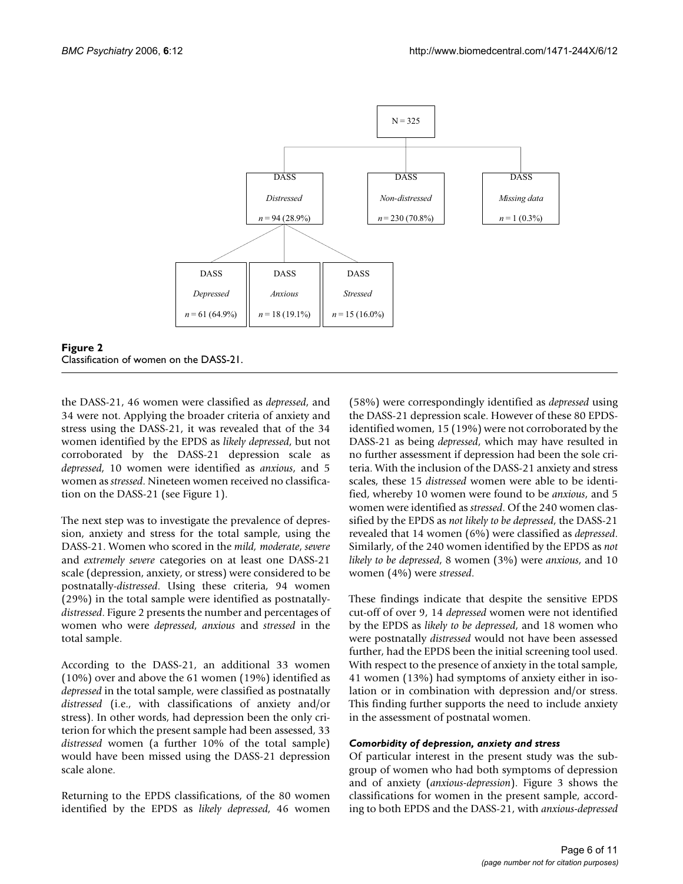**Figure 2** 



the DASS-21, 46 women were classified as *depressed*, and 34 were not. Applying the broader criteria of anxiety and stress using the DASS-21, it was revealed that of the 34 women identified by the EPDS as *likely depressed*, but not corroborated by the DASS-21 depression scale as *depressed*, 10 women were identified as *anxious*, and 5 women as *stressed*. Nineteen women received no classification on the DASS-21 (see Figure 1).

The next step was to investigate the prevalence of depression, anxiety and stress for the total sample, using the DASS-21. Women who scored in the *mild, moderate*, *severe* and *extremely severe* categories on at least one DASS-21 scale (depression, anxiety, or stress) were considered to be postnatally-*distressed*. Using these criteria, 94 women (29%) in the total sample were identified as postnatally*distressed*. Figure 2 presents the number and percentages of women who were *depressed*, *anxious* and *stressed* in the total sample.

According to the DASS-21, an additional 33 women (10%) over and above the 61 women (19%) identified as *depressed* in the total sample, were classified as postnatally *distressed* (i.e., with classifications of anxiety and/or stress). In other words, had depression been the only criterion for which the present sample had been assessed, 33 *distressed* women (a further 10% of the total sample) would have been missed using the DASS-21 depression scale alone.

Returning to the EPDS classifications, of the 80 women identified by the EPDS as *likely depressed*, 46 women

(58%) were correspondingly identified as *depressed* using the DASS-21 depression scale. However of these 80 EPDSidentified women, 15 (19%) were not corroborated by the DASS-21 as being *depressed*, which may have resulted in no further assessment if depression had been the sole criteria. With the inclusion of the DASS-21 anxiety and stress scales, these 15 *distressed* women were able to be identified, whereby 10 women were found to be *anxious*, and 5 women were identified as *stressed*. Of the 240 women classified by the EPDS as *not likely to be depressed*, the DASS-21 revealed that 14 women (6%) were classified as *depressed*. Similarly, of the 240 women identified by the EPDS as *not likely to be depressed*, 8 women (3%) were *anxious*, and 10 women (4%) were *stressed*.

These findings indicate that despite the sensitive EPDS cut-off of over 9, 14 *depressed* women were not identified by the EPDS as *likely to be depressed*, and 18 women who were postnatally *distressed* would not have been assessed further, had the EPDS been the initial screening tool used. With respect to the presence of anxiety in the total sample, 41 women (13%) had symptoms of anxiety either in isolation or in combination with depression and/or stress. This finding further supports the need to include anxiety in the assessment of postnatal women.

#### *Comorbidity of depression, anxiety and stress*

Of particular interest in the present study was the subgroup of women who had both symptoms of depression and of anxiety (*anxious-depression*). Figure 3 shows the classifications for women in the present sample, according to both EPDS and the DASS-21, with *anxious-depressed*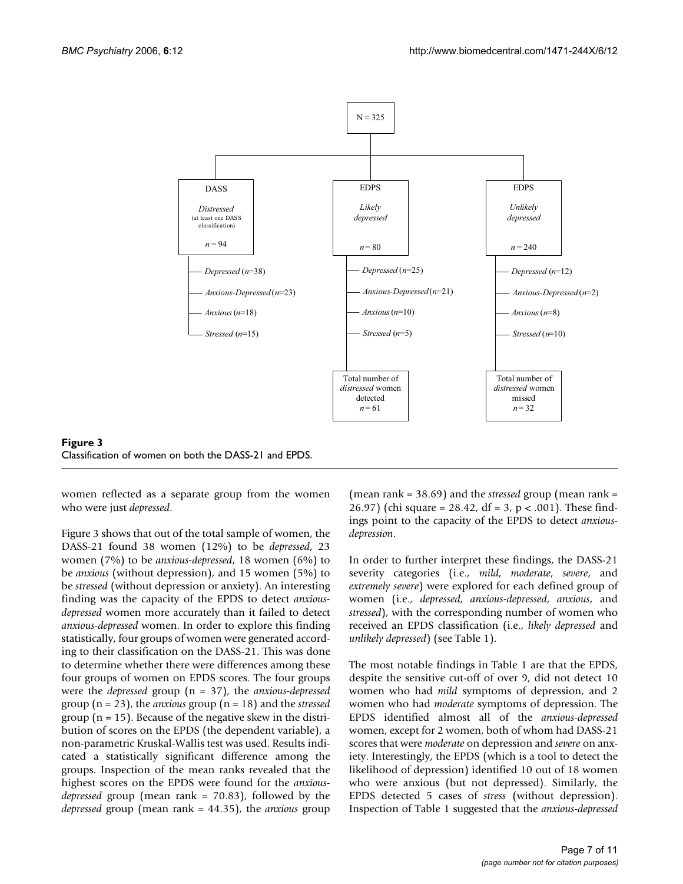

Figure 3 Classification of women on both the DASS-21 and EPDS.

women reflected as a separate group from the women who were just *depressed*.

Figure 3 shows that out of the total sample of women, the DASS-21 found 38 women (12%) to be *depressed*, 23 women (7%) to be *anxious-depressed*, 18 women (6%) to be *anxious* (without depression), and 15 women (5%) to be *stressed* (without depression or anxiety). An interesting finding was the capacity of the EPDS to detect *anxiousdepressed* women more accurately than it failed to detect *anxious-depressed* women. In order to explore this finding statistically, four groups of women were generated according to their classification on the DASS-21. This was done to determine whether there were differences among these four groups of women on EPDS scores. The four groups were the *depressed* group (n = 37), the *anxious-depressed* group (n = 23), the *anxious* group (n = 18) and the *stressed* group ( $n = 15$ ). Because of the negative skew in the distribution of scores on the EPDS (the dependent variable), a non-parametric Kruskal-Wallis test was used. Results indicated a statistically significant difference among the groups. Inspection of the mean ranks revealed that the highest scores on the EPDS were found for the *anxiousdepressed* group (mean rank = 70.83), followed by the *depressed* group (mean rank = 44.35), the *anxious* group

(mean rank = 38.69) and the *stressed* group (mean rank = 26.97) (chi square = 28.42, df = 3, p < .001). These findings point to the capacity of the EPDS to detect *anxiousdepression*.

In order to further interpret these findings, the DASS-21 severity categories (i.e., *mild*, *moderate*, *severe*, and *extremely severe*) were explored for each defined group of women (i.e., *depressed*, *anxious-depressed*, *anxious*, and *stressed*), with the corresponding number of women who received an EPDS classification (i.e., *likely depressed* and *unlikely depressed*) (see Table 1).

The most notable findings in Table 1 are that the EPDS, despite the sensitive cut-off of over 9, did not detect 10 women who had *mild* symptoms of depression, and 2 women who had *moderate* symptoms of depression. The EPDS identified almost all of the *anxious-depressed* women, except for 2 women, both of whom had DASS-21 scores that were *moderate* on depression and *severe* on anxiety. Interestingly, the EPDS (which is a tool to detect the likelihood of depression) identified 10 out of 18 women who were anxious (but not depressed). Similarly, the EPDS detected 5 cases of *stress* (without depression). Inspection of Table 1 suggested that the *anxious-depressed*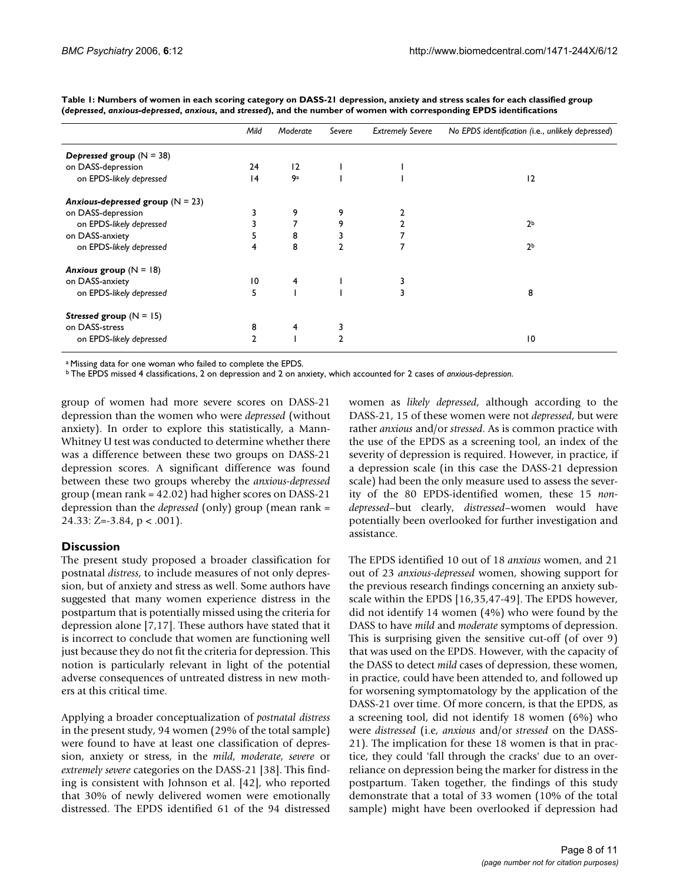|                                    | Mild | Moderate | Severe         | <b>Extremely Severe</b> | No EPDS identification (i.e., unlikely depressed) |
|------------------------------------|------|----------|----------------|-------------------------|---------------------------------------------------|
| Depressed group $(N = 38)$         |      |          |                |                         |                                                   |
| on DASS-depression                 | 24   | 12       |                |                         |                                                   |
| on EPDS-likely depressed           | 4    | 9а       |                |                         | 12                                                |
| Anxious-depressed group $(N = 23)$ |      |          |                |                         |                                                   |
| on DASS-depression                 |      | 9        | 9              |                         |                                                   |
| on EPDS-likely depressed           |      |          | 9              | 2                       | 2 <sup>b</sup>                                    |
| on DASS-anxiety                    | 5    | 8        | 3              |                         |                                                   |
| on EPDS-likely depressed           | 4    | 8        | $\overline{2}$ | 7                       | 2 <sup>b</sup>                                    |
| Anxious group $(N = 18)$           |      |          |                |                         |                                                   |
| on DASS-anxiety                    | 10   | 4        |                |                         |                                                   |
| on EPDS-likely depressed           | 5    |          |                | 3                       | 8                                                 |
| Stressed group $(N = 15)$          |      |          |                |                         |                                                   |
| on DASS-stress                     | 8    | 4        |                |                         |                                                   |
| on EPDS-likely depressed           | 2    |          | $\mathfrak{p}$ |                         | $\overline{10}$                                   |

**Table 1: Numbers of women in each scoring category on DASS-21 depression, anxiety and stress scales for each classified group (***depressed***,** *anxious-depressed***,** *anxious***, and** *stressed***), and the number of women with corresponding EPDS identifications**

a Missing data for one woman who failed to complete the EPDS.

b The EPDS missed 4 classifications, 2 on depression and 2 on anxiety, which accounted for 2 cases of *anxious-depression*.

group of women had more severe scores on DASS-21 depression than the women who were *depressed* (without anxiety). In order to explore this statistically, a Mann-Whitney U test was conducted to determine whether there was a difference between these two groups on DASS-21 depression scores. A significant difference was found between these two groups whereby the *anxious-depressed* group (mean rank = 42.02) had higher scores on DASS-21 depression than the *depressed* (only) group (mean rank = 24.33: Z= $-3.84$ , p < .001).

## **Discussion**

The present study proposed a broader classification for postnatal *distress*, to include measures of not only depression, but of anxiety and stress as well. Some authors have suggested that many women experience distress in the postpartum that is potentially missed using the criteria for depression alone [7,17]. These authors have stated that it is incorrect to conclude that women are functioning well just because they do not fit the criteria for depression. This notion is particularly relevant in light of the potential adverse consequences of untreated distress in new mothers at this critical time.

Applying a broader conceptualization of *postnatal distress* in the present study, 94 women (29% of the total sample) were found to have at least one classification of depression, anxiety or stress, in the *mild*, *moderate*, *severe* or *extremely severe* categories on the DASS-21 [38]. This finding is consistent with Johnson et al. [42], who reported that 30% of newly delivered women were emotionally distressed. The EPDS identified 61 of the 94 distressed

women as *likely depressed*, although according to the DASS-21, 15 of these women were not *depressed*, but were rather *anxious* and/or *stressed*. As is common practice with the use of the EPDS as a screening tool, an index of the severity of depression is required. However, in practice, if a depression scale (in this case the DASS-21 depression scale) had been the only measure used to assess the severity of the 80 EPDS-identified women, these 15 *nondepressed*–but clearly, *distressed*–women would have potentially been overlooked for further investigation and assistance.

The EPDS identified 10 out of 18 *anxious* women, and 21 out of 23 *anxious-depressed* women, showing support for the previous research findings concerning an anxiety subscale within the EPDS [16,35,47-49]. The EPDS however, did not identify 14 women (4%) who were found by the DASS to have *mild* and *moderate* symptoms of depression. This is surprising given the sensitive cut-off (of over 9) that was used on the EPDS. However, with the capacity of the DASS to detect *mild* cases of depression, these women, in practice, could have been attended to, and followed up for worsening symptomatology by the application of the DASS-21 over time. Of more concern, is that the EPDS, as a screening tool, did not identify 18 women (6%) who were *distressed* (i.e, *anxious* and/or *stressed* on the DASS-21). The implication for these 18 women is that in practice, they could 'fall through the cracks' due to an overreliance on depression being the marker for distress in the postpartum. Taken together, the findings of this study demonstrate that a total of 33 women (10% of the total sample) might have been overlooked if depression had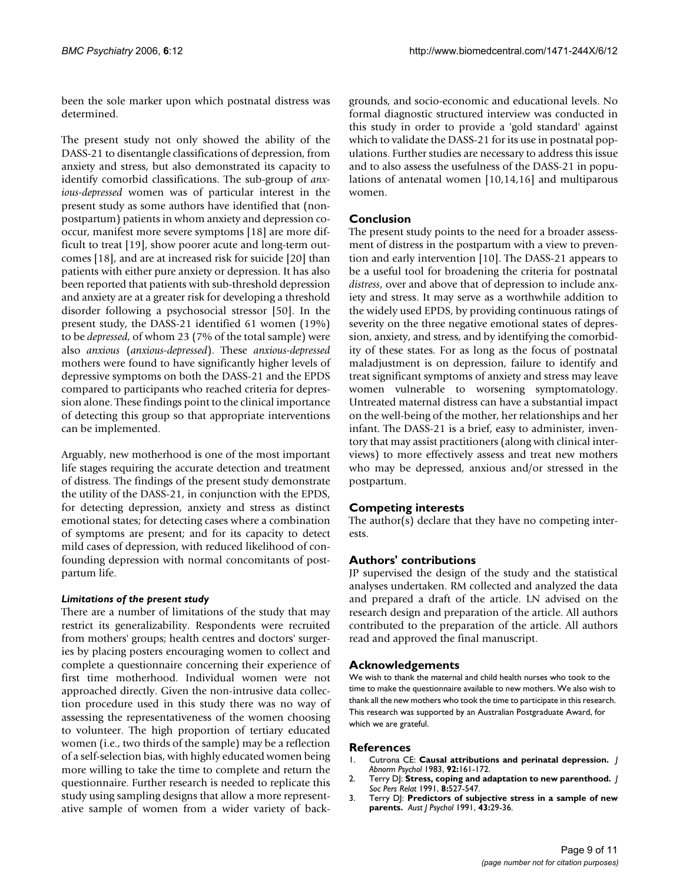been the sole marker upon which postnatal distress was determined.

The present study not only showed the ability of the DASS-21 to disentangle classifications of depression, from anxiety and stress, but also demonstrated its capacity to identify comorbid classifications. The sub-group of *anxious-depressed* women was of particular interest in the present study as some authors have identified that (nonpostpartum) patients in whom anxiety and depression cooccur, manifest more severe symptoms [18] are more difficult to treat [19], show poorer acute and long-term outcomes [18], and are at increased risk for suicide [20] than patients with either pure anxiety or depression. It has also been reported that patients with sub-threshold depression and anxiety are at a greater risk for developing a threshold disorder following a psychosocial stressor [50]. In the present study, the DASS-21 identified 61 women (19%) to be *depressed*, of whom 23 (7% of the total sample) were also *anxious* (*anxious-depressed*). These *anxious-depressed* mothers were found to have significantly higher levels of depressive symptoms on both the DASS-21 and the EPDS compared to participants who reached criteria for depression alone. These findings point to the clinical importance of detecting this group so that appropriate interventions can be implemented.

Arguably, new motherhood is one of the most important life stages requiring the accurate detection and treatment of distress. The findings of the present study demonstrate the utility of the DASS-21, in conjunction with the EPDS, for detecting depression, anxiety and stress as distinct emotional states; for detecting cases where a combination of symptoms are present; and for its capacity to detect mild cases of depression, with reduced likelihood of confounding depression with normal concomitants of postpartum life.

## *Limitations of the present study*

There are a number of limitations of the study that may restrict its generalizability. Respondents were recruited from mothers' groups; health centres and doctors' surgeries by placing posters encouraging women to collect and complete a questionnaire concerning their experience of first time motherhood. Individual women were not approached directly. Given the non-intrusive data collection procedure used in this study there was no way of assessing the representativeness of the women choosing to volunteer. The high proportion of tertiary educated women (i.e., two thirds of the sample) may be a reflection of a self-selection bias, with highly educated women being more willing to take the time to complete and return the questionnaire. Further research is needed to replicate this study using sampling designs that allow a more representative sample of women from a wider variety of backgrounds, and socio-economic and educational levels. No formal diagnostic structured interview was conducted in this study in order to provide a 'gold standard' against which to validate the DASS-21 for its use in postnatal populations. Further studies are necessary to address this issue and to also assess the usefulness of the DASS-21 in populations of antenatal women [10,14,16] and multiparous women.

# **Conclusion**

The present study points to the need for a broader assessment of distress in the postpartum with a view to prevention and early intervention [10]. The DASS-21 appears to be a useful tool for broadening the criteria for postnatal *distress*, over and above that of depression to include anxiety and stress. It may serve as a worthwhile addition to the widely used EPDS, by providing continuous ratings of severity on the three negative emotional states of depression, anxiety, and stress, and by identifying the comorbidity of these states. For as long as the focus of postnatal maladjustment is on depression, failure to identify and treat significant symptoms of anxiety and stress may leave women vulnerable to worsening symptomatology. Untreated maternal distress can have a substantial impact on the well-being of the mother, her relationships and her infant. The DASS-21 is a brief, easy to administer, inventory that may assist practitioners (along with clinical interviews) to more effectively assess and treat new mothers who may be depressed, anxious and/or stressed in the postpartum.

## **Competing interests**

The author(s) declare that they have no competing interests.

## **Authors' contributions**

JP supervised the design of the study and the statistical analyses undertaken. RM collected and analyzed the data and prepared a draft of the article. LN advised on the research design and preparation of the article. All authors contributed to the preparation of the article. All authors read and approved the final manuscript.

## **Acknowledgements**

We wish to thank the maternal and child health nurses who took to the time to make the questionnaire available to new mothers. We also wish to thank all the new mothers who took the time to participate in this research. This research was supported by an Australian Postgraduate Award, for which we are grateful.

#### **References**

- 1. Cutrona CE: **[Causal attributions and perinatal depression.](http://www.ncbi.nlm.nih.gov/entrez/query.fcgi?cmd=Retrieve&db=PubMed&dopt=Abstract&list_uids=6863731)** *J Abnorm Psychol* 1983, **92:**161-172.
- 2. Terry DJ: **Stress, coping and adaptation to new parenthood.** *J Soc Pers Relat* 1991, **8:**527-547.
- 3. Terry DJ: **Predictors of subjective stress in a sample of new parents.** *Aust J Psychol* 1991, **43:**29-36.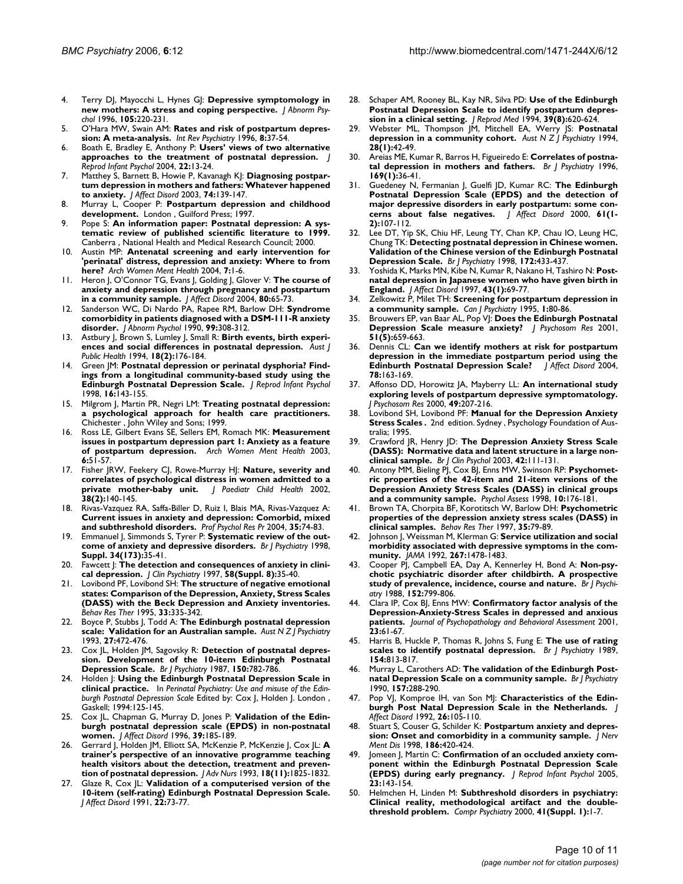- 4. Terry DJ, Mayocchi L, Hynes GJ: **[Depressive symptomology in](http://www.ncbi.nlm.nih.gov/entrez/query.fcgi?cmd=Retrieve&db=PubMed&dopt=Abstract&list_uids=8723003) [new mothers: A stress and coping perspective.](http://www.ncbi.nlm.nih.gov/entrez/query.fcgi?cmd=Retrieve&db=PubMed&dopt=Abstract&list_uids=8723003)** *J Abnorm Psychol* 1996, **105:**220-231.
- 5. O'Hara MW, Swain AM: **Rates and risk of postpartum depression: A meta-analysis.** *Int Rev Psychiatry* 1996, **8:**37-54.
- 6. Boath E, Bradley E, Anthony P: **Users' views of two alternative approaches to the treatment of postnatal depression.** *J Reprod Infant Psychol* 2004, **22:**13-24.
- 7. Matthey S, Barnett B, Howie P, Kavanagh KJ: **[Diagnosing postpar](http://www.ncbi.nlm.nih.gov/entrez/query.fcgi?cmd=Retrieve&db=PubMed&dopt=Abstract&list_uids=12706515)[tum depression in mothers and fathers: Whatever happened](http://www.ncbi.nlm.nih.gov/entrez/query.fcgi?cmd=Retrieve&db=PubMed&dopt=Abstract&list_uids=12706515) [to anxiety.](http://www.ncbi.nlm.nih.gov/entrez/query.fcgi?cmd=Retrieve&db=PubMed&dopt=Abstract&list_uids=12706515)** *J Affect Disord* 2003, **74:**139-147.
- 8. Murray L, Cooper P: **Postpartum depression and childhood development.** London , Guilford Press; 1997.
- Pope S: An information paper: Postnatal depression: A sys**tematic review of published scientific literature to 1999.** Canberra , National Health and Medical Research Council; 2000.
- 10. Austin MP: **[Antenatal screening and early intervention for](http://www.ncbi.nlm.nih.gov/entrez/query.fcgi?cmd=Retrieve&db=PubMed&dopt=Abstract&list_uids=14963727) ['perinatal' distress, depression and anxiety: Where to from](http://www.ncbi.nlm.nih.gov/entrez/query.fcgi?cmd=Retrieve&db=PubMed&dopt=Abstract&list_uids=14963727) [here?](http://www.ncbi.nlm.nih.gov/entrez/query.fcgi?cmd=Retrieve&db=PubMed&dopt=Abstract&list_uids=14963727)** *Arch Women Ment Health* 2004, **7:**1-6.
- 11. Heron J, O'Connor TG, Evans J, Golding J, Glover V: **[The course of](http://www.ncbi.nlm.nih.gov/entrez/query.fcgi?cmd=Retrieve&db=PubMed&dopt=Abstract&list_uids=15094259) [anxiety and depression through pregnancy and postpartum](http://www.ncbi.nlm.nih.gov/entrez/query.fcgi?cmd=Retrieve&db=PubMed&dopt=Abstract&list_uids=15094259) [in a community sample.](http://www.ncbi.nlm.nih.gov/entrez/query.fcgi?cmd=Retrieve&db=PubMed&dopt=Abstract&list_uids=15094259)** *J Affect Disord* 2004, **80:**65-73.
- 12. Sanderson WC, Di Nardo PA, Rapee RM, Barlow DH: **[Syndrome](http://www.ncbi.nlm.nih.gov/entrez/query.fcgi?cmd=Retrieve&db=PubMed&dopt=Abstract&list_uids=2212281) [comorbidity in patients diagnosed with a DSM-111-R anxiety](http://www.ncbi.nlm.nih.gov/entrez/query.fcgi?cmd=Retrieve&db=PubMed&dopt=Abstract&list_uids=2212281) [disorder.](http://www.ncbi.nlm.nih.gov/entrez/query.fcgi?cmd=Retrieve&db=PubMed&dopt=Abstract&list_uids=2212281)** *J Abnorm Psychol* 1990, **99:**308-312.
- 13. Astbury J, Brown S, Lumley J, Small R: **[Birth events, birth experi](http://www.ncbi.nlm.nih.gov/entrez/query.fcgi?cmd=Retrieve&db=PubMed&dopt=Abstract&list_uids=7948335)[ences and social differences in postnatal depression.](http://www.ncbi.nlm.nih.gov/entrez/query.fcgi?cmd=Retrieve&db=PubMed&dopt=Abstract&list_uids=7948335)** *Aust J Public Health* 1994, **18(2):**176-184.
- 14. Green JM: **Postnatal depression or perinatal dysphoria? Findings from a longitudinal community-based study using the Edinburgh Postnatal Depression Scale.** *J Reprod Infant Psychol* 1998, **16:**143-155.
- 15. Milgrom J, Martin PR, Negri LM: **Treating postnatal depression: a psychological approach for health care practitioners.** Chichester , John Wiley and Sons; 1999.
- 16. Ross LE, Gilbert Evans SE, Sellers EM, Romach MK: **[Measurement](http://www.ncbi.nlm.nih.gov/entrez/query.fcgi?cmd=Retrieve&db=PubMed&dopt=Abstract&list_uids=12715264) [issues in postpartum depression part 1: Anxiety as a feature](http://www.ncbi.nlm.nih.gov/entrez/query.fcgi?cmd=Retrieve&db=PubMed&dopt=Abstract&list_uids=12715264) [of postpartum depression.](http://www.ncbi.nlm.nih.gov/entrez/query.fcgi?cmd=Retrieve&db=PubMed&dopt=Abstract&list_uids=12715264)** *Arch Women Ment Health* 2003, **6:**51-57.
- 17. Fisher JRW, Feekery CJ, Rowe-Murray HJ: **[Nature, severity and](http://www.ncbi.nlm.nih.gov/entrez/query.fcgi?cmd=Retrieve&db=PubMed&dopt=Abstract&list_uids=12030994) [correlates of psychological distress in women admitted to a](http://www.ncbi.nlm.nih.gov/entrez/query.fcgi?cmd=Retrieve&db=PubMed&dopt=Abstract&list_uids=12030994) [private mother-baby unit.](http://www.ncbi.nlm.nih.gov/entrez/query.fcgi?cmd=Retrieve&db=PubMed&dopt=Abstract&list_uids=12030994)** *J Paediatr Child Health* 2002, **38(2):**140-145.
- 18. Rivas-Vazquez RA, Saffa-Biller D, Ruiz I, Blais MA, Rivas-Vazquez A: **Current issues in anxiety and depression: Comorbid, mixed and subthreshold disorders.** *Prof Psychol Res Pr* 2004, **35:**74-83.
- 19. Emmanuel J, Simmonds S, Tyrer P: Systematic review of the out**come of anxiety and depressive disorders.** *Br J Psychiatry* 1998, **Suppl. 34(173):**35-41.
- 20. Fawcett J: **[The detection and consequences of anxiety in clini](http://www.ncbi.nlm.nih.gov/entrez/query.fcgi?cmd=Retrieve&db=PubMed&dopt=Abstract&list_uids=9236734)[cal depression.](http://www.ncbi.nlm.nih.gov/entrez/query.fcgi?cmd=Retrieve&db=PubMed&dopt=Abstract&list_uids=9236734)** *J Clin Psychiatry* 1997, **58(Suppl. 8):**35-40.
- 21. Lovibond PF, Lovibond SH: **[The structure of negative emotional](http://www.ncbi.nlm.nih.gov/entrez/query.fcgi?cmd=Retrieve&db=PubMed&dopt=Abstract&list_uids=7726811) states: Comparison of the Depression, Anxiety, Stress Scales [\(DASS\) with the Beck Depression and Anxiety inventories.](http://www.ncbi.nlm.nih.gov/entrez/query.fcgi?cmd=Retrieve&db=PubMed&dopt=Abstract&list_uids=7726811)** *Behav Res Ther* 1995, **33:**335-342.
- 22. Boyce P, Stubbs J, Todd A: **[The Edinburgh postnatal depression](http://www.ncbi.nlm.nih.gov/entrez/query.fcgi?cmd=Retrieve&db=PubMed&dopt=Abstract&list_uids=8250792) [scale: Validation for an Australian sample.](http://www.ncbi.nlm.nih.gov/entrez/query.fcgi?cmd=Retrieve&db=PubMed&dopt=Abstract&list_uids=8250792)** *Aust N Z J Psychiatry* 1993, **27:**472-476.
- 23. Cox JL, Holden JM, Sagovsky R: **[Detection of postnatal depres](http://www.ncbi.nlm.nih.gov/entrez/query.fcgi?cmd=Retrieve&db=PubMed&dopt=Abstract&list_uids=3651732)[sion. Development of the 10-item Edinburgh Postnatal](http://www.ncbi.nlm.nih.gov/entrez/query.fcgi?cmd=Retrieve&db=PubMed&dopt=Abstract&list_uids=3651732) [Depression Scale.](http://www.ncbi.nlm.nih.gov/entrez/query.fcgi?cmd=Retrieve&db=PubMed&dopt=Abstract&list_uids=3651732)** *Br J Psychiatry* 1987, **150:**782-786.
- 24. Holden J: **Using the Edinburgh Postnatal Depression Scale in clinical practice.** In *Perinatal Psychiatry: Use and misuse of the Edinburgh Postnatal Depression Scale* Edited by: Cox J, Holden J. London , Gaskell; 1994:125-145.
- 25. Cox JL, Chapman G, Murray D, Jones P: **[Validation of the Edin](http://www.ncbi.nlm.nih.gov/entrez/query.fcgi?cmd=Retrieve&db=PubMed&dopt=Abstract&list_uids=8856422)[burgh postnatal depression scale \(EPDS\) in non-postnatal](http://www.ncbi.nlm.nih.gov/entrez/query.fcgi?cmd=Retrieve&db=PubMed&dopt=Abstract&list_uids=8856422) [women.](http://www.ncbi.nlm.nih.gov/entrez/query.fcgi?cmd=Retrieve&db=PubMed&dopt=Abstract&list_uids=8856422)** *J Affect Disord* 1996, **39:**185-189.
- 26. Gerrard J, Holden JM, Elliott SA, McKenzie P, McKenzie J, Cox JL: **[A](http://www.ncbi.nlm.nih.gov/entrez/query.fcgi?cmd=Retrieve&db=PubMed&dopt=Abstract&list_uids=8288829) trainer's perspective of an innovative programme teaching [health visitors about the detection, treatment and preven](http://www.ncbi.nlm.nih.gov/entrez/query.fcgi?cmd=Retrieve&db=PubMed&dopt=Abstract&list_uids=8288829)[tion of postnatal depression.](http://www.ncbi.nlm.nih.gov/entrez/query.fcgi?cmd=Retrieve&db=PubMed&dopt=Abstract&list_uids=8288829)** *J Adv Nurs* 1993, **18(11):**1825-1832.
- Glaze R, Cox JL: **[Validation of a computerised version of the](http://www.ncbi.nlm.nih.gov/entrez/query.fcgi?cmd=Retrieve&db=PubMed&dopt=Abstract&list_uids=1880310) [10-item \(self-rating\) Edinburgh Postnatal Depression Scale.](http://www.ncbi.nlm.nih.gov/entrez/query.fcgi?cmd=Retrieve&db=PubMed&dopt=Abstract&list_uids=1880310)** *J Affect Disord* 1991, **22:**73-77.
- 28. Schaper AM, Rooney BL, Kay NR, Silva PD: **[Use of the Edinburgh](http://www.ncbi.nlm.nih.gov/entrez/query.fcgi?cmd=Retrieve&db=PubMed&dopt=Abstract&list_uids=7996526) [Postnatal Depression Scale to identify postpartum depres](http://www.ncbi.nlm.nih.gov/entrez/query.fcgi?cmd=Retrieve&db=PubMed&dopt=Abstract&list_uids=7996526)[sion in a clinical setting.](http://www.ncbi.nlm.nih.gov/entrez/query.fcgi?cmd=Retrieve&db=PubMed&dopt=Abstract&list_uids=7996526)** *J Reprod Med* 1994, **39(8):**620-624.
- 29. Webster ML, Thompson JM, Mitchell EA, Werry JS: **[Postnatal](http://www.ncbi.nlm.nih.gov/entrez/query.fcgi?cmd=Retrieve&db=PubMed&dopt=Abstract&list_uids=8067968) [depression in a community cohort.](http://www.ncbi.nlm.nih.gov/entrez/query.fcgi?cmd=Retrieve&db=PubMed&dopt=Abstract&list_uids=8067968)** *Aust N Z J Psychiatry* 1994, **28(1):**42-49.
- 30. Areias ME, Kumar R, Barros H, Figueiredo E: **[Correlates of postna](http://www.ncbi.nlm.nih.gov/entrez/query.fcgi?cmd=Retrieve&db=PubMed&dopt=Abstract&list_uids=8818366)[tal depression in mothers and fathers.](http://www.ncbi.nlm.nih.gov/entrez/query.fcgi?cmd=Retrieve&db=PubMed&dopt=Abstract&list_uids=8818366)** *Br J Psychiatry* 1996, **169(1):**36-41.
- 31. Guedeney N, Fermanian J, Guelfi JD, Kumar RC: **[The Edinburgh](http://www.ncbi.nlm.nih.gov/entrez/query.fcgi?cmd=Retrieve&db=PubMed&dopt=Abstract&list_uids=11099748) Postnatal Depression Scale (EPDS) and the detection of [major depressive disorders in early postpartum: some con](http://www.ncbi.nlm.nih.gov/entrez/query.fcgi?cmd=Retrieve&db=PubMed&dopt=Abstract&list_uids=11099748)[cerns about false negatives.](http://www.ncbi.nlm.nih.gov/entrez/query.fcgi?cmd=Retrieve&db=PubMed&dopt=Abstract&list_uids=11099748)** *J Affect Disord* 2000, **61(1- 2):**107-112.
- 32. Lee DT, Yip SK, Chiu HF, Leung TY, Chan KP, Chau IO, Leung HC, Chung TK: **[Detecting postnatal depression in Chinese women.](http://www.ncbi.nlm.nih.gov/entrez/query.fcgi?cmd=Retrieve&db=PubMed&dopt=Abstract&list_uids=9747407) [Validation of the Chinese version of the Edinburgh Postnatal](http://www.ncbi.nlm.nih.gov/entrez/query.fcgi?cmd=Retrieve&db=PubMed&dopt=Abstract&list_uids=9747407) [Depression Scale.](http://www.ncbi.nlm.nih.gov/entrez/query.fcgi?cmd=Retrieve&db=PubMed&dopt=Abstract&list_uids=9747407)** *Br J Psychiatry* 1998, **172:**433-437.
- 33. Yoshida K, Marks MN, Kibe N, Kumar R, Nakano H, Tashiro N: **[Post](http://www.ncbi.nlm.nih.gov/entrez/query.fcgi?cmd=Retrieve&db=PubMed&dopt=Abstract&list_uids=9127832)[natal depression in Japanese women who have given birth in](http://www.ncbi.nlm.nih.gov/entrez/query.fcgi?cmd=Retrieve&db=PubMed&dopt=Abstract&list_uids=9127832) [England.](http://www.ncbi.nlm.nih.gov/entrez/query.fcgi?cmd=Retrieve&db=PubMed&dopt=Abstract&list_uids=9127832)** *J Affect Disord* 1997, **43(1):**69-77.
- 34. Zelkowitz P, Milet TH: **Screening for postpartum depression in a community sample.** *Can J Psychiatry* 1995, **1:**80-86.
- 35. Brouwers EP, van Baar AL, Pop VJ: **[Does the Edinburgh Postnatal](http://www.ncbi.nlm.nih.gov/entrez/query.fcgi?cmd=Retrieve&db=PubMed&dopt=Abstract&list_uids=11728506) [Depression Scale measure anxiety?](http://www.ncbi.nlm.nih.gov/entrez/query.fcgi?cmd=Retrieve&db=PubMed&dopt=Abstract&list_uids=11728506)** *J Psychosom Res* 2001, **51(5):**659-663.
- 36. Dennis CL: **[Can we identify mothers at risk for postpartum](http://www.ncbi.nlm.nih.gov/entrez/query.fcgi?cmd=Retrieve&db=PubMed&dopt=Abstract&list_uids=14706728) [depression in the immediate postpartum period using the](http://www.ncbi.nlm.nih.gov/entrez/query.fcgi?cmd=Retrieve&db=PubMed&dopt=Abstract&list_uids=14706728) [Edinburth Postnatal Depression Scale?](http://www.ncbi.nlm.nih.gov/entrez/query.fcgi?cmd=Retrieve&db=PubMed&dopt=Abstract&list_uids=14706728)** *J Affect Disord* 2004, **78:**163-169.
- 37. Affonso DD, Horowitz JA, Mayberry LL: **[An international study](http://www.ncbi.nlm.nih.gov/entrez/query.fcgi?cmd=Retrieve&db=PubMed&dopt=Abstract&list_uids=11110992) [exploring levels of postpartum depressive symptomatology.](http://www.ncbi.nlm.nih.gov/entrez/query.fcgi?cmd=Retrieve&db=PubMed&dopt=Abstract&list_uids=11110992)** *J Psychosom Res* 2000, **49:**207-216.
- 38. Lovibond SH, Lovibond PF: **Manual for the Depression Anxiety Stress Scales .** 2nd edition. Sydney , Psychology Foundation of Australia; 1995.
- 39. Crawford JR, Henry JD: **[The Depression Anxiety Stress Scale](http://www.ncbi.nlm.nih.gov/entrez/query.fcgi?cmd=Retrieve&db=PubMed&dopt=Abstract&list_uids=12828802) [\(DASS\): Normative data and latent structure in a large non](http://www.ncbi.nlm.nih.gov/entrez/query.fcgi?cmd=Retrieve&db=PubMed&dopt=Abstract&list_uids=12828802)[clinical sample.](http://www.ncbi.nlm.nih.gov/entrez/query.fcgi?cmd=Retrieve&db=PubMed&dopt=Abstract&list_uids=12828802)** *Br J Clin Psychol* 2003, **42:**111-131.
- 40. Antony MM, Bieling PJ, Cox BJ, Enns MW, Swinson RP: **Psychometric properties of the 42-item and 21-item versions of the Depression Anxiety Stress Scales (DASS) in clinical groups and a community sample.** *Psychol Assess* 1998, **10:**176-181.
- 41. Brown TA, Chorpita BF, Korotitsch W, Barlow DH: **[Psychometric](http://www.ncbi.nlm.nih.gov/entrez/query.fcgi?cmd=Retrieve&db=PubMed&dopt=Abstract&list_uids=9009048) [properties of the depression anxiety stress scales \(DASS\) in](http://www.ncbi.nlm.nih.gov/entrez/query.fcgi?cmd=Retrieve&db=PubMed&dopt=Abstract&list_uids=9009048) [clinical samples.](http://www.ncbi.nlm.nih.gov/entrez/query.fcgi?cmd=Retrieve&db=PubMed&dopt=Abstract&list_uids=9009048)** *Behav Res Ther* 1997, **35:**79-89.
- 42. Johnson J, Weissman M, Klerman G: **[Service utilization and social](http://www.ncbi.nlm.nih.gov/entrez/query.fcgi?cmd=Retrieve&db=PubMed&dopt=Abstract&list_uids=1538538) [morbidity associated with depressive symptoms in the com](http://www.ncbi.nlm.nih.gov/entrez/query.fcgi?cmd=Retrieve&db=PubMed&dopt=Abstract&list_uids=1538538)[munity.](http://www.ncbi.nlm.nih.gov/entrez/query.fcgi?cmd=Retrieve&db=PubMed&dopt=Abstract&list_uids=1538538)** *JAMA* 1992, **267:**1478-1483.
- 43. Cooper PJ, Campbell EA, Day A, Kennerley H, Bond A: **[Non-psy](http://www.ncbi.nlm.nih.gov/entrez/query.fcgi?cmd=Retrieve&db=PubMed&dopt=Abstract&list_uids=3167466)[chotic psychiatric disorder after childbirth. A prospective](http://www.ncbi.nlm.nih.gov/entrez/query.fcgi?cmd=Retrieve&db=PubMed&dopt=Abstract&list_uids=3167466) [study of prevalence, incidence, course and nature.](http://www.ncbi.nlm.nih.gov/entrez/query.fcgi?cmd=Retrieve&db=PubMed&dopt=Abstract&list_uids=3167466)** *Br J Psychiatry* 1988, **152:**799-806.
- 44. Clara IP, Cox BJ, Enns MW: **Confirmatory factor analysis of the Depression-Anxiety-Stress Scales in depressed and anxious patients.** *Journal of Psychopathology and Behavioral Assessment* 2001, **23:**61-67.
- 45. Harris B, Huckle P, Thomas R, Johns S, Fung E: **[The use of rating](http://www.ncbi.nlm.nih.gov/entrez/query.fcgi?cmd=Retrieve&db=PubMed&dopt=Abstract&list_uids=2597888) [scales to identify postnatal depression.](http://www.ncbi.nlm.nih.gov/entrez/query.fcgi?cmd=Retrieve&db=PubMed&dopt=Abstract&list_uids=2597888)** *Br J Psychiatry* 1989, **154:**813-817.
- 46. Murray L, Carothers AD: **[The validation of the Edinburgh Post](http://www.ncbi.nlm.nih.gov/entrez/query.fcgi?cmd=Retrieve&db=PubMed&dopt=Abstract&list_uids=2224383)[natal Depression Scale on a community sample.](http://www.ncbi.nlm.nih.gov/entrez/query.fcgi?cmd=Retrieve&db=PubMed&dopt=Abstract&list_uids=2224383)** *Br J Psychiatry* 1990, **157:**288-290.
- 47. Pop VJ, Komproe IH, van Son MJ: **[Characteristics of the Edin](http://www.ncbi.nlm.nih.gov/entrez/query.fcgi?cmd=Retrieve&db=PubMed&dopt=Abstract&list_uids=1447427)[burgh Post Natal Depression Scale in the Netherlands.](http://www.ncbi.nlm.nih.gov/entrez/query.fcgi?cmd=Retrieve&db=PubMed&dopt=Abstract&list_uids=1447427)** *J Affect Disord* 1992, **26:**105-110.
- 48. Stuart S, Couser G, Schilder K: **[Postpartum anxiety and depres](http://www.ncbi.nlm.nih.gov/entrez/query.fcgi?cmd=Retrieve&db=PubMed&dopt=Abstract&list_uids=9680043)[sion: Onset and comorbidity in a community sample.](http://www.ncbi.nlm.nih.gov/entrez/query.fcgi?cmd=Retrieve&db=PubMed&dopt=Abstract&list_uids=9680043)** *J Nerv Ment Dis* 1998, **186:**420-424.
- 49. Jomeen J, Martin C: **Confirmation of an occluded anxiety component within the Edinburgh Postnatal Depression Scale (EPDS) during early pregnancy.** *J Reprod Infant Psychol* 2005, **23:**143-154.
- 50. Helmchen H, Linden M: **Subthreshold disorders in psychiatry: Clinical reality, methodological artifact and the doublethreshold problem.** *Compr Psychiatry* 2000, **41(Suppl. 1):**1-7.